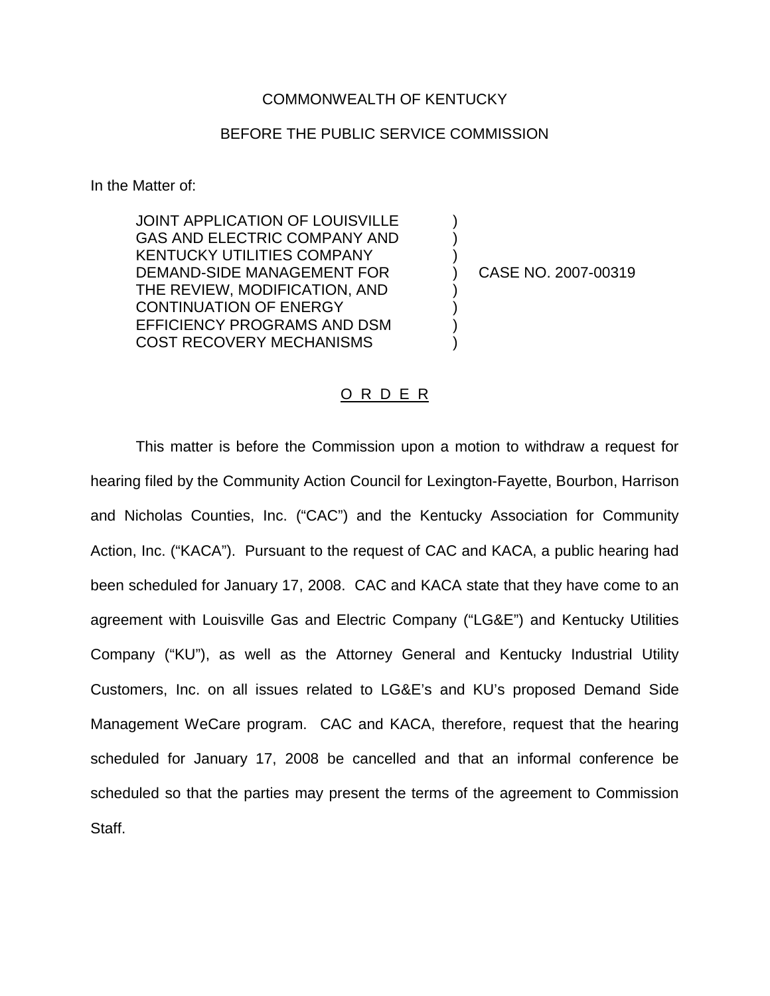## COMMONWEALTH OF KENTUCKY

## BEFORE THE PUBLIC SERVICE COMMISSION

In the Matter of:

JOINT APPLICATION OF LOUISVILLE ) GAS AND ELECTRIC COMPANY AND KENTUCKY UTILITIES COMPANY ) DEMAND-SIDE MANAGEMENT FOR (2007-00319) THE REVIEW, MODIFICATION, AND ) CONTINUATION OF ENERGY ) EFFICIENCY PROGRAMS AND DSM ) COST RECOVERY MECHANISMS )

## O R D E R

This matter is before the Commission upon a motion to withdraw a request for hearing filed by the Community Action Council for Lexington-Fayette, Bourbon, Harrison and Nicholas Counties, Inc. ("CAC") and the Kentucky Association for Community Action, Inc. ("KACA"). Pursuant to the request of CAC and KACA, a public hearing had been scheduled for January 17, 2008. CAC and KACA state that they have come to an agreement with Louisville Gas and Electric Company ("LG&E") and Kentucky Utilities Company ("KU"), as well as the Attorney General and Kentucky Industrial Utility Customers, Inc. on all issues related to LG&E's and KU's proposed Demand Side Management WeCare program. CAC and KACA, therefore, request that the hearing scheduled for January 17, 2008 be cancelled and that an informal conference be scheduled so that the parties may present the terms of the agreement to Commission Staff.